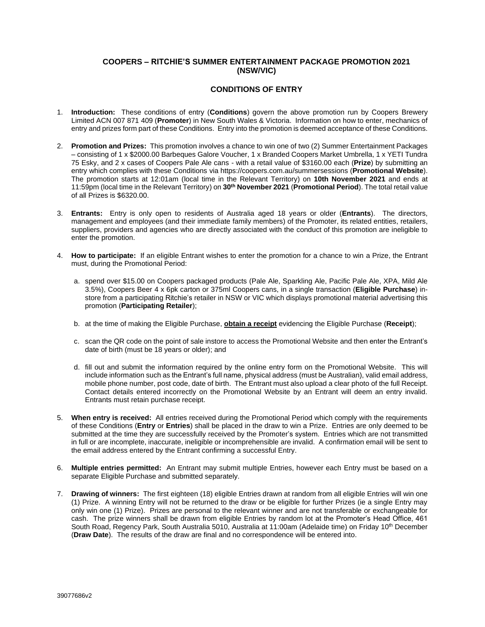## **COOPERS – RITCHIE'S SUMMER ENTERTAINMENT PACKAGE PROMOTION 2021 (NSW/VIC)**

## **CONDITIONS OF ENTRY**

- 1. **Introduction:** These conditions of entry (**Conditions**) govern the above promotion run by Coopers Brewery Limited ACN 007 871 409 (**Promoter**) in New South Wales & Victoria. Information on how to enter, mechanics of entry and prizes form part of these Conditions. Entry into the promotion is deemed acceptance of these Conditions.
- <span id="page-0-0"></span>2. **Promotion and Prizes:** This promotion involves a chance to win one of two (2) Summer Entertainment Packages – consisting of 1 x \$2000.00 Barbeques Galore Voucher, 1 x Branded Coopers Market Umbrella, 1 x YETI Tundra 75 Esky, and 2 x cases of Coopers Pale Ale cans - with a retail value of \$3160.00 each (**Prize**) by submitting an entry which complies with these Conditions via https://coopers.com.au/summersessions (**Promotional Website**). The promotion starts at 12:01am (local time in the Relevant Territory) on **10th November 2021** and ends at 11:59pm (local time in the Relevant Territory) on **30th November 2021** (**Promotional Period**). The total retail value of all Prizes is \$6320.00.
- 3. **Entrants:** Entry is only open to residents of Australia aged 18 years or older (**Entrants**). The directors, management and employees (and their immediate family members) of the Promoter, its related entities, retailers, suppliers, providers and agencies who are directly associated with the conduct of this promotion are ineligible to enter the promotion.
- 4. **How to participate:** If an eligible Entrant wishes to enter the promotion for a chance to win a Prize, the Entrant must, during the Promotional Period:
	- a. spend over \$15.00 on Coopers packaged products (Pale Ale, Sparkling Ale, Pacific Pale Ale, XPA, Mild Ale 3.5%), Coopers Beer 4 x 6pk carton or 375ml Coopers cans, in a single transaction (**Eligible Purchase**) instore from a participating Ritchie's retailer in NSW or VIC which displays promotional material advertising this promotion (**Participating Retailer**);
	- b. at the time of making the Eligible Purchase, **obtain a receipt** evidencing the Eligible Purchase (**Receipt**);
	- c. scan the QR code on the point of sale instore to access the Promotional Website and then enter the Entrant's date of birth (must be 18 years or older); and
	- d. fill out and submit the information required by the online entry form on the Promotional Website. This will include information such as the Entrant's full name, physical address (must be Australian), valid email address, mobile phone number, post code, date of birth. The Entrant must also upload a clear photo of the full Receipt. Contact details entered incorrectly on the Promotional Website by an Entrant will deem an entry invalid. Entrants must retain purchase receipt.
- 5. **When entry is received:** All entries received during the Promotional Period which comply with the requirements of these Conditions (**Entry** or **Entries**) shall be placed in the draw to win a Prize. Entries are only deemed to be submitted at the time they are successfully received by the Promoter's system. Entries which are not transmitted in full or are incomplete, inaccurate, ineligible or incomprehensible are invalid. A confirmation email will be sent to the email address entered by the Entrant confirming a successful Entry.
- 6. **Multiple entries permitted:** An Entrant may submit multiple Entries, however each Entry must be based on a separate Eligible Purchase and submitted separately.
- 7. **Drawing of winners:** The first eighteen (18) eligible Entries drawn at random from all eligible Entries will win one (1) Prize. A winning Entry will not be returned to the draw or be eligible for further Prizes (ie a single Entry may only win one (1) Prize). Prizes are personal to the relevant winner and are not transferable or exchangeable for cash. The prize winners shall be drawn from eligible Entries by random lot at the Promoter's Head Office, 461 South Road, Regency Park, South Australia 5010, Australia at 11:00am (Adelaide time) on Friday 10<sup>th</sup> December (**Draw Date**). The results of the draw are final and no correspondence will be entered into.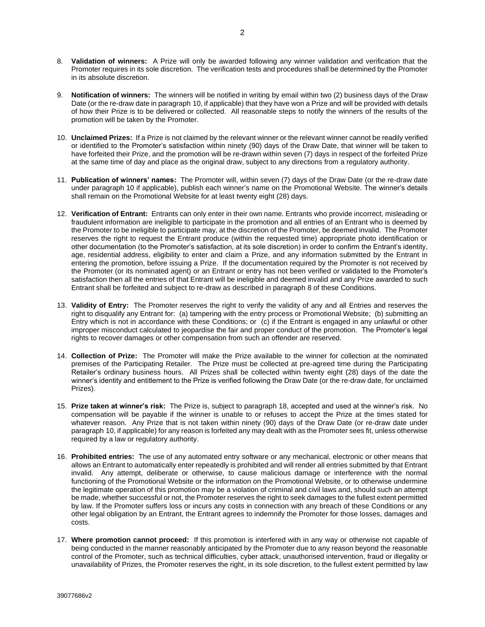- <span id="page-1-1"></span>8. **Validation of winners:** A Prize will only be awarded following any winner validation and verification that the Promoter requires in its sole discretion. The verification tests and procedures shall be determined by the Promoter in its absolute discretion.
- 9. **Notification of winners:** The winners will be notified in writing by email within two (2) business days of the Draw Date (or the re-draw date in paragraph [10,](#page-1-0) if applicable) that they have won a Prize and will be provided with details of how their Prize is to be delivered or collected. All reasonable steps to notify the winners of the results of the promotion will be taken by the Promoter.
- <span id="page-1-0"></span>10. **Unclaimed Prizes:** If a Prize is not claimed by the relevant winner or the relevant winner cannot be readily verified or identified to the Promoter's satisfaction within ninety (90) days of the Draw Date, that winner will be taken to have forfeited their Prize, and the promotion will be re-drawn within seven (7) days in respect of the forfeited Prize at the same time of day and place as the original draw, subject to any directions from a regulatory authority.
- 11. **Publication of winners' names:** The Promoter will, within seven (7) days of the Draw Date (or the re-draw date under paragraph [10](#page-1-0) if applicable), publish each winner's name on the Promotional Website. The winner's details shall remain on the Promotional Website for at least twenty eight (28) days.
- 12. **Verification of Entrant:** Entrants can only enter in their own name. Entrants who provide incorrect, misleading or fraudulent information are ineligible to participate in the promotion and all entries of an Entrant who is deemed by the Promoter to be ineligible to participate may, at the discretion of the Promoter, be deemed invalid. The Promoter reserves the right to request the Entrant produce (within the requested time) appropriate photo identification or other documentation (to the Promoter's satisfaction, at its sole discretion) in order to confirm the Entrant's identity, age, residential address, eligibility to enter and claim a Prize, and any information submitted by the Entrant in entering the promotion, before issuing a Prize. If the documentation required by the Promoter is not received by the Promoter (or its nominated agent) or an Entrant or entry has not been verified or validated to the Promoter's satisfaction then all the entries of that Entrant will be ineligible and deemed invalid and any Prize awarded to such Entrant shall be forfeited and subject to re-draw as described in paragraph [8](#page-1-1) of these Conditions.
- 13. **Validity of Entry:** The Promoter reserves the right to verify the validity of any and all Entries and reserves the right to disqualify any Entrant for: (a) tampering with the entry process or Promotional Website; (b) submitting an Entry which is not in accordance with these Conditions; or (c) if the Entrant is engaged in any unlawful or other improper misconduct calculated to jeopardise the fair and proper conduct of the promotion. The Promoter's legal rights to recover damages or other compensation from such an offender are reserved.
- 14. **Collection of Prize:** The Promoter will make the Prize available to the winner for collection at the nominated premises of the Participating Retailer. The Prize must be collected at pre-agreed time during the Participating Retailer's ordinary business hours. All Prizes shall be collected within twenty eight (28) days of the date the winner's identity and entitlement to the Prize is verified following the Draw Date (or the re-draw date, for unclaimed Prizes).
- 15. **Prize taken at winner's risk:** The Prize is, subject to paragraph [18,](#page-2-0) accepted and used at the winner's risk. No compensation will be payable if the winner is unable to or refuses to accept the Prize at the times stated for whatever reason. Any Prize that is not taken within ninety (90) days of the Draw Date (or re-draw date under paragraph [10,](#page-1-0) if applicable) for any reason is forfeited any may dealt with as the Promoter sees fit, unless otherwise required by a law or regulatory authority.
- 16. **Prohibited entries:** The use of any automated entry software or any mechanical, electronic or other means that allows an Entrant to automatically enter repeatedly is prohibited and will render all entries submitted by that Entrant invalid. Any attempt, deliberate or otherwise, to cause malicious damage or interference with the normal functioning of the Promotional Website or the information on the Promotional Website, or to otherwise undermine the legitimate operation of this promotion may be a violation of criminal and civil laws and, should such an attempt be made, whether successful or not, the Promoter reserves the right to seek damages to the fullest extent permitted by law. If the Promoter suffers loss or incurs any costs in connection with any breach of these Conditions or any other legal obligation by an Entrant, the Entrant agrees to indemnify the Promoter for those losses, damages and costs.
- 17. **Where promotion cannot proceed:** If this promotion is interfered with in any way or otherwise not capable of being conducted in the manner reasonably anticipated by the Promoter due to any reason beyond the reasonable control of the Promoter, such as technical difficulties, cyber attack, unauthorised intervention, fraud or illegality or unavailability of Prizes, the Promoter reserves the right, in its sole discretion, to the fullest extent permitted by law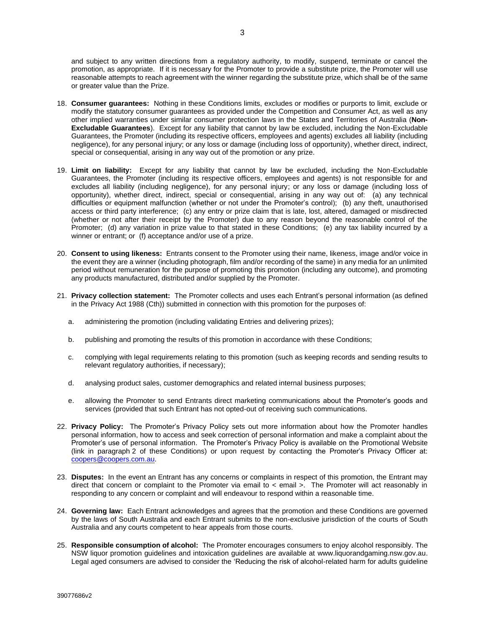and subject to any written directions from a regulatory authority, to modify, suspend, terminate or cancel the promotion, as appropriate. If it is necessary for the Promoter to provide a substitute prize, the Promoter will use reasonable attempts to reach agreement with the winner regarding the substitute prize, which shall be of the same or greater value than the Prize.

- <span id="page-2-0"></span>18. **Consumer guarantees:** Nothing in these Conditions limits, excludes or modifies or purports to limit, exclude or modify the statutory consumer guarantees as provided under the Competition and Consumer Act, as well as any other implied warranties under similar consumer protection laws in the States and Territories of Australia (**Non-Excludable Guarantees**). Except for any liability that cannot by law be excluded, including the Non-Excludable Guarantees, the Promoter (including its respective officers, employees and agents) excludes all liability (including negligence), for any personal injury; or any loss or damage (including loss of opportunity), whether direct, indirect, special or consequential, arising in any way out of the promotion or any prize.
- 19. **Limit on liability:** Except for any liability that cannot by law be excluded, including the Non-Excludable Guarantees, the Promoter (including its respective officers, employees and agents) is not responsible for and excludes all liability (including negligence), for any personal injury; or any loss or damage (including loss of opportunity), whether direct, indirect, special or consequential, arising in any way out of: (a) any technical difficulties or equipment malfunction (whether or not under the Promoter's control); (b) any theft, unauthorised access or third party interference; (c) any entry or prize claim that is late, lost, altered, damaged or misdirected (whether or not after their receipt by the Promoter) due to any reason beyond the reasonable control of the Promoter; (d) any variation in prize value to that stated in these Conditions; (e) any tax liability incurred by a winner or entrant; or (f) acceptance and/or use of a prize.
- 20. **Consent to using likeness:** Entrants consent to the Promoter using their name, likeness, image and/or voice in the event they are a winner (including photograph, film and/or recording of the same) in any media for an unlimited period without remuneration for the purpose of promoting this promotion (including any outcome), and promoting any products manufactured, distributed and/or supplied by the Promoter.
- 21. **Privacy collection statement:** The Promoter collects and uses each Entrant's personal information (as defined in the Privacy Act 1988 (Cth)) submitted in connection with this promotion for the purposes of:
	- a. administering the promotion (including validating Entries and delivering prizes);
	- b. publishing and promoting the results of this promotion in accordance with these Conditions;
	- c. complying with legal requirements relating to this promotion (such as keeping records and sending results to relevant regulatory authorities, if necessary);
	- d. analysing product sales, customer demographics and related internal business purposes;
	- e. allowing the Promoter to send Entrants direct marketing communications about the Promoter's goods and services (provided that such Entrant has not opted-out of receiving such communications.
- 22. **Privacy Policy:** The Promoter's Privacy Policy sets out more information about how the Promoter handles personal information, how to access and seek correction of personal information and make a complaint about the Promoter's use of personal information. The Promoter's Privacy Policy is available on the Promotional Website (link in paragraph [2](#page-0-0) of these Conditions) or upon request by contacting the Promoter's Privacy Officer at: [coopers@coopers.com.au.](mailto:coopers@coopers.com.au)
- 23. **Disputes:** In the event an Entrant has any concerns or complaints in respect of this promotion, the Entrant may direct that concern or complaint to the Promoter via email to < email >. The Promoter will act reasonably in responding to any concern or complaint and will endeavour to respond within a reasonable time.
- 24. **Governing law:** Each Entrant acknowledges and agrees that the promotion and these Conditions are governed by the laws of South Australia and each Entrant submits to the non-exclusive jurisdiction of the courts of South Australia and any courts competent to hear appeals from those courts.
- 25. **Responsible consumption of alcohol:** The Promoter encourages consumers to enjoy alcohol responsibly. The NSW liquor promotion guidelines and intoxication guidelines are available at [www.liquorandgaming.nsw.gov.au.](http://www.liquorandgaming.justice.nsw.gov.au/) Legal aged consumers are advised to consider the 'Reducing the risk of alcohol-related harm for adults guideline